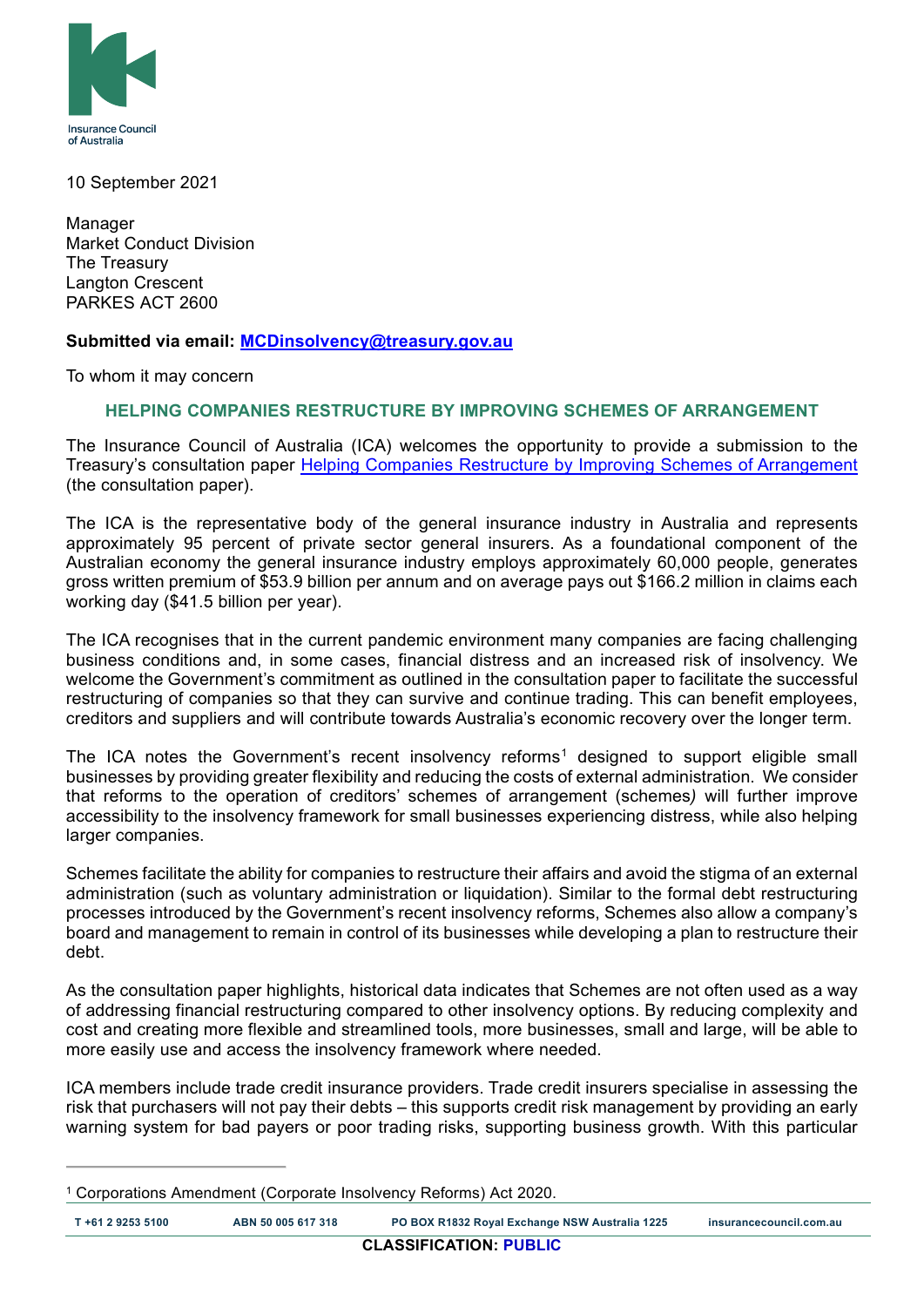

10 September 2021

Manager Market Conduct Division The Treasury Langton Crescent PARKES ACT 2600

### **Submitted via email: [MCDinsolvency@treasury.gov.au](mailto:MCDinsolvency@treasury.gov.au)**

To whom it may concern

### **HELPING COMPANIES RESTRUCTURE BY IMPROVING SCHEMES OF ARRANGEMENT**

The Insurance Council of Australia (ICA) welcomes the opportunity to provide a submission to the Treasury's consultation paper [Helping Companies Restructure by Improving Schemes of Arrangement](https://treasury.gov.au/sites/default/files/2021-08/c2021-190907-cp1_0.pdf) (the consultation paper).

The ICA is the representative body of the general insurance industry in Australia and represents approximately 95 percent of private sector general insurers. As a foundational component of the Australian economy the general insurance industry employs approximately 60,000 people, generates gross written premium of \$53.9 billion per annum and on average pays out \$166.2 million in claims each working day (\$41.5 billion per year).

The ICA recognises that in the current pandemic environment many companies are facing challenging business conditions and, in some cases, financial distress and an increased risk of insolvency. We welcome the Government's commitment as outlined in the consultation paper to facilitate the successful restructuring of companies so that they can survive and continue trading. This can benefit employees, creditors and suppliers and will contribute towards Australia's economic recovery over the longer term.

The ICA notes the Government's recent insolvency reforms<sup>[1](#page-0-0)</sup> designed to support eligible small businesses by providing greater flexibility and reducing the costs of external administration. We consider that reforms to the operation of creditors' schemes of arrangement (schemes*)* will further improve accessibility to the insolvency framework for small businesses experiencing distress, while also helping larger companies.

Schemes facilitate the ability for companies to restructure their affairs and avoid the stigma of an external administration (such as voluntary administration or liquidation). Similar to the formal debt restructuring processes introduced by the Government's recent insolvency reforms, Schemes also allow a company's board and management to remain in control of its businesses while developing a plan to restructure their debt.

As the consultation paper highlights, historical data indicates that Schemes are not often used as a way of addressing financial restructuring compared to other insolvency options. By reducing complexity and cost and creating more flexible and streamlined tools, more businesses, small and large, will be able to more easily use and access the insolvency framework where needed.

ICA members include trade credit insurance providers. Trade credit insurers specialise in assessing the risk that purchasers will not pay their debts – this supports credit risk management by providing an early warning system for bad payers or poor trading risks, supporting business growth. With this particular

<span id="page-0-0"></span><sup>1</sup> Corporations Amendment (Corporate Insolvency Reforms) Act 2020.

**T +61 2 9253 5100 ABN 50 005 617 318 PO BOX R1832 Royal Exchange NSW Australia 1225 insurancecouncil.com.au**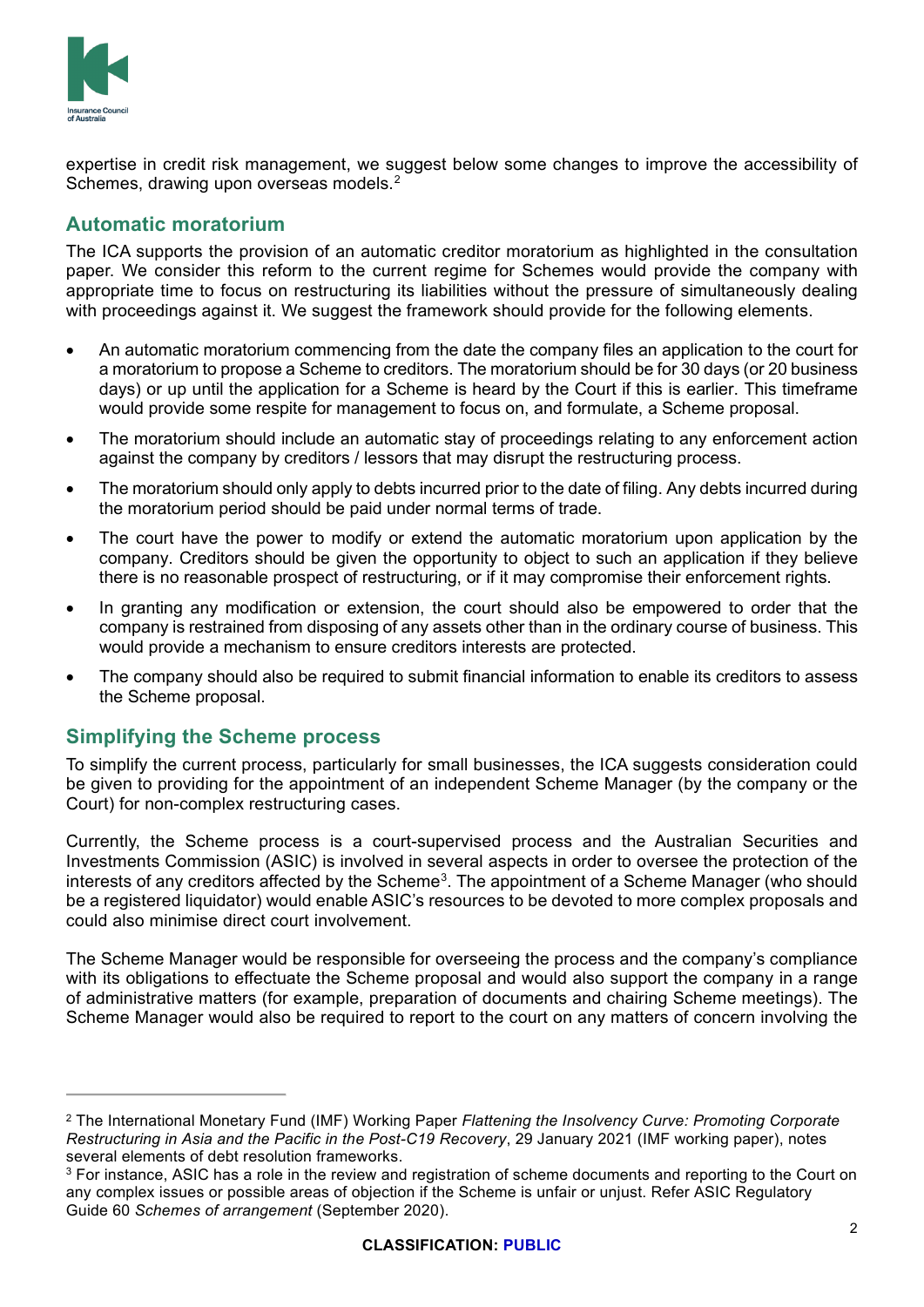

expertise in credit risk management, we suggest below some changes to improve the accessibility of Schemes, drawing upon overseas models. $^{\rm 2}$  $^{\rm 2}$  $^{\rm 2}$ 

# **Automatic moratorium**

The ICA supports the provision of an automatic creditor moratorium as highlighted in the consultation paper. We consider this reform to the current regime for Schemes would provide the company with appropriate time to focus on restructuring its liabilities without the pressure of simultaneously dealing with proceedings against it. We suggest the framework should provide for the following elements.

- An automatic moratorium commencing from the date the company files an application to the court for a moratorium to propose a Scheme to creditors. The moratorium should be for 30 days (or 20 business days) or up until the application for a Scheme is heard by the Court if this is earlier. This timeframe would provide some respite for management to focus on, and formulate, a Scheme proposal.
- The moratorium should include an automatic stay of proceedings relating to any enforcement action against the company by creditors / lessors that may disrupt the restructuring process.
- The moratorium should only apply to debts incurred prior to the date of filing. Any debts incurred during the moratorium period should be paid under normal terms of trade.
- The court have the power to modify or extend the automatic moratorium upon application by the company. Creditors should be given the opportunity to object to such an application if they believe there is no reasonable prospect of restructuring, or if it may compromise their enforcement rights.
- In granting any modification or extension, the court should also be empowered to order that the company is restrained from disposing of any assets other than in the ordinary course of business. This would provide a mechanism to ensure creditors interests are protected.
- The company should also be required to submit financial information to enable its creditors to assess the Scheme proposal.

### **Simplifying the Scheme process**

To simplify the current process, particularly for small businesses, the ICA suggests consideration could be given to providing for the appointment of an independent Scheme Manager (by the company or the Court) for non-complex restructuring cases.

Currently, the Scheme process is a court-supervised process and the Australian Securities and Investments Commission (ASIC) is involved in several aspects in order to oversee the protection of the interests of any creditors affected by the Scheme $^3$  $^3$ . The appointment of a Scheme Manager (who should be a registered liquidator) would enable ASIC's resources to be devoted to more complex proposals and could also minimise direct court involvement.

The Scheme Manager would be responsible for overseeing the process and the company's compliance with its obligations to effectuate the Scheme proposal and would also support the company in a range of administrative matters (for example, preparation of documents and chairing Scheme meetings). The Scheme Manager would also be required to report to the court on any matters of concern involving the

<span id="page-1-0"></span><sup>2</sup> The International Monetary Fund (IMF) Working Paper *Flattening the Insolvency Curve: Promoting Corporate Restructuring in Asia and the Pacific in the Post-C19 Recovery*, 29 January 2021 (IMF working paper), notes several elements of debt resolution frameworks.

<span id="page-1-1"></span><sup>&</sup>lt;sup>3</sup> For instance, ASIC has a role in the review and registration of scheme documents and reporting to the Court on any complex issues or possible areas of objection if the Scheme is unfair or unjust. Refer ASIC Regulatory Guide 60 *Schemes of arrangement* (September 2020).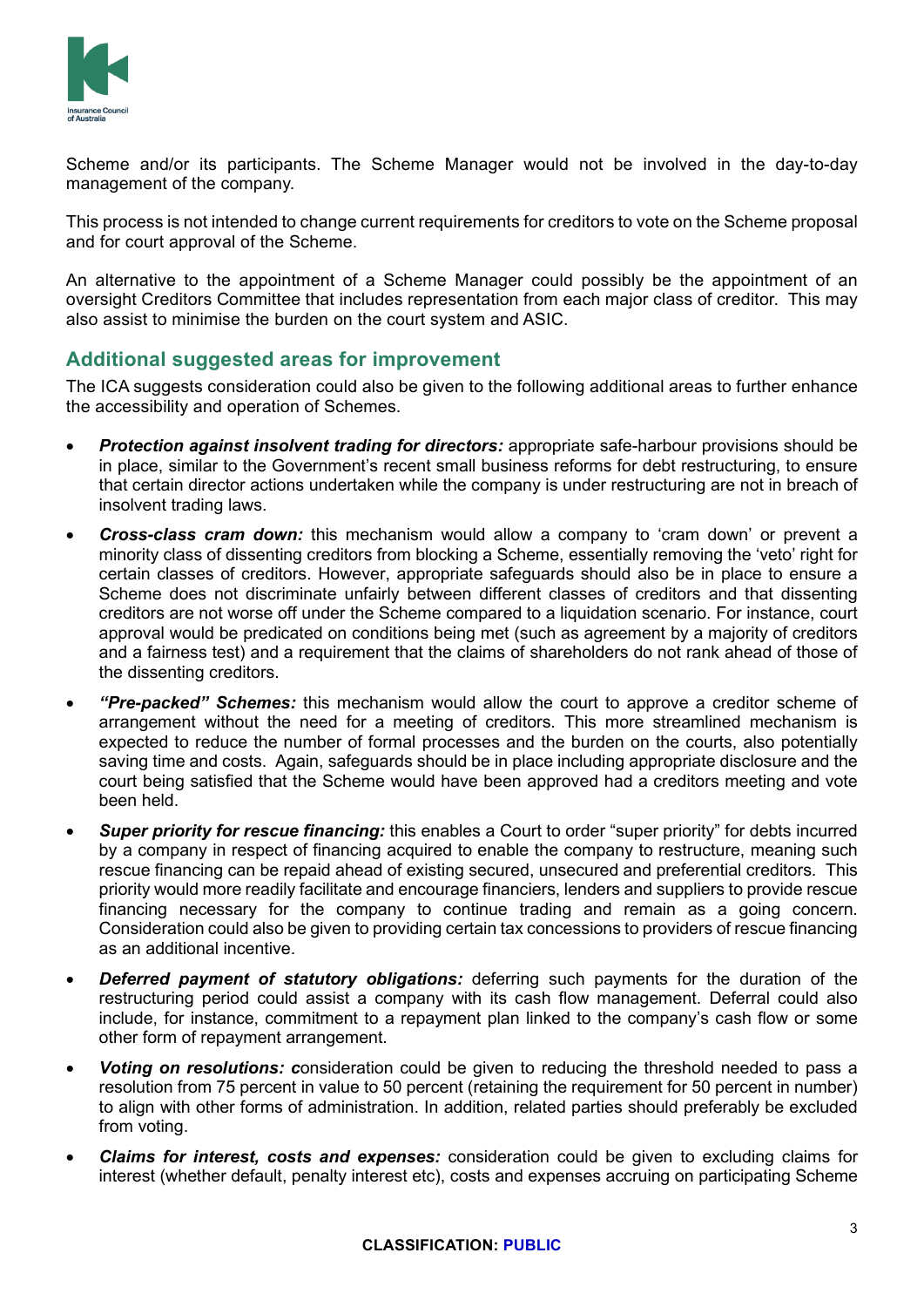

Scheme and/or its participants. The Scheme Manager would not be involved in the day-to-day management of the company.

This process is not intended to change current requirements for creditors to vote on the Scheme proposal and for court approval of the Scheme.

An alternative to the appointment of a Scheme Manager could possibly be the appointment of an oversight Creditors Committee that includes representation from each major class of creditor. This may also assist to minimise the burden on the court system and ASIC.

## **Additional suggested areas for improvement**

The ICA suggests consideration could also be given to the following additional areas to further enhance the accessibility and operation of Schemes.

- *Protection against insolvent trading for directors:* appropriate safe-harbour provisions should be in place, similar to the Government's recent small business reforms for debt restructuring, to ensure that certain director actions undertaken while the company is under restructuring are not in breach of insolvent trading laws.
- *Cross-class cram down:* this mechanism would allow a company to 'cram down' or prevent a minority class of dissenting creditors from blocking a Scheme, essentially removing the 'veto' right for certain classes of creditors. However, appropriate safeguards should also be in place to ensure a Scheme does not discriminate unfairly between different classes of creditors and that dissenting creditors are not worse off under the Scheme compared to a liquidation scenario. For instance, court approval would be predicated on conditions being met (such as agreement by a majority of creditors and a fairness test) and a requirement that the claims of shareholders do not rank ahead of those of the dissenting creditors.
- *"Pre-packed" Schemes:* this mechanism would allow the court to approve a creditor scheme of arrangement without the need for a meeting of creditors. This more streamlined mechanism is expected to reduce the number of formal processes and the burden on the courts, also potentially saving time and costs. Again, safeguards should be in place including appropriate disclosure and the court being satisfied that the Scheme would have been approved had a creditors meeting and vote been held.
- *Super priority for rescue financing:* this enables a Court to order "super priority" for debts incurred by a company in respect of financing acquired to enable the company to restructure, meaning such rescue financing can be repaid ahead of existing secured, unsecured and preferential creditors. This priority would more readily facilitate and encourage financiers, lenders and suppliers to provide rescue financing necessary for the company to continue trading and remain as a going concern. Consideration could also be given to providing certain tax concessions to providers of rescue financing as an additional incentive.
- *Deferred payment of statutory obligations:* deferring such payments for the duration of the restructuring period could assist a company with its cash flow management. Deferral could also include, for instance, commitment to a repayment plan linked to the company's cash flow or some other form of repayment arrangement.
- *Voting on resolutions: c*onsideration could be given to reducing the threshold needed to pass a resolution from 75 percent in value to 50 percent (retaining the requirement for 50 percent in number) to align with other forms of administration. In addition, related parties should preferably be excluded from voting.
- *Claims for interest, costs and expenses:* consideration could be given to excluding claims for interest (whether default, penalty interest etc), costs and expenses accruing on participating Scheme